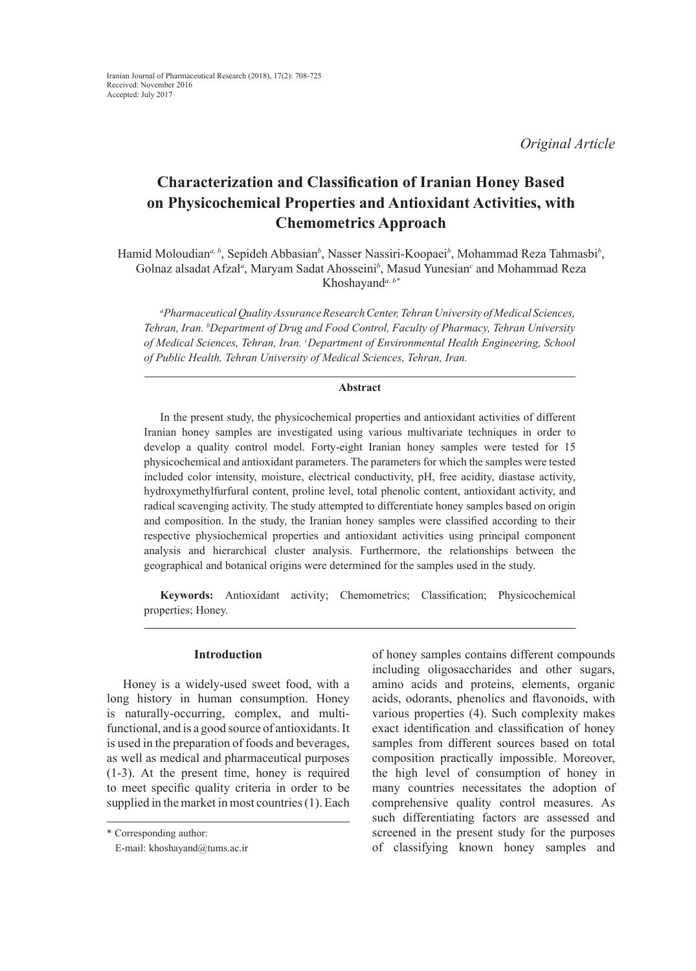*Original Article*

# **Characterization and Classification of Iranian Honey Based on Physicochemical Properties and Antioxidant Activities, with Chemometrics Approach**

Hamid Moloudian<sup>a, b</sup>, Sepideh Abbasian<sup>b</sup>, Nasser Nassiri-Koopaei<sup>b</sup>, Mohammad Reza Tahmasbi<sup>b</sup>, Golnaz alsadat Afzal<sup>*a*</sup>, Maryam Sadat Ahosseini<sup>b</sup>, Masud Yunesian<sup>c</sup> and Mohammad Reza Khoshayand*a, b\**

*a Pharmaceutical Quality Assurance Research Center, Tehran University of Medical Sciences, Tehran, Iran. b Department of Drug and Food Control, Faculty of Pharmacy, Tehran University of Medical Sciences, Tehran, Iran. c Department of Environmental Health Engineering, School of Public Health, Tehran University of Medical Sciences, Tehran, Iran.*

#### **Abstract**

In the present study, the physicochemical properties and antioxidant activities of different Iranian honey samples are investigated using various multivariate techniques in order to develop a quality control model. Forty-eight Iranian honey samples were tested for 15 physicochemical and antioxidant parameters. The parameters for which the samples were tested included color intensity, moisture, electrical conductivity, pH, free acidity, diastase activity, hydroxymethylfurfural content, proline level, total phenolic content, antioxidant activity, and radical scavenging activity. The study attempted to differentiate honey samples based on origin and composition. In the study, the Iranian honey samples were classified according to their respective physiochemical properties and antioxidant activities using principal component analysis and hierarchical cluster analysis. Furthermore, the relationships between the geographical and botanical origins were determined for the samples used in the study.

**Keywords:** Antioxidant activity; Chemometrics; Classification; Physicochemical properties; Honey.

# **Introduction**

Honey is a widely-used sweet food, with a long history in human consumption. Honey is naturally-occurring, complex, and multifunctional, and is a good source of antioxidants. It is used in the preparation of foods and beverages, as well as medical and pharmaceutical purposes (1-3). At the present time, honey is required to meet specific quality criteria in order to be supplied in the market in most countries (1). Each of honey samples contains different compounds including oligosaccharides and other sugars, amino acids and proteins, elements, organic acids, odorants, phenolics and flavonoids, with various properties (4). Such complexity makes exact identification and classification of honey samples from different sources based on total composition practically impossible. Moreover, the high level of consumption of honey in many countries necessitates the adoption of comprehensive quality control measures. As such differentiating factors are assessed and screened in the present study for the purposes of classifying known honey samples and

<sup>\*</sup> Corresponding author:

E-mail: khoshayand@tums.ac.ir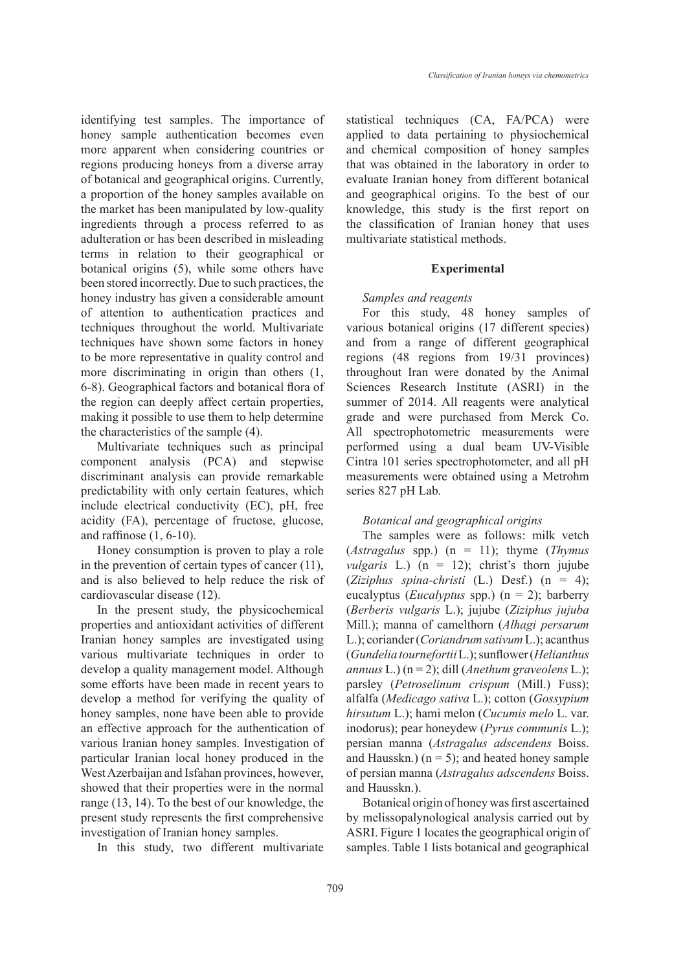identifying test samples. The importance of honey sample authentication becomes even more apparent when considering countries or regions producing honeys from a diverse array of botanical and geographical origins. Currently, a proportion of the honey samples available on the market has been manipulated by low-quality ingredients through a process referred to as adulteration or has been described in misleading terms in relation to their geographical or botanical origins (5), while some others have been stored incorrectly. Due to such practices, the honey industry has given a considerable amount of attention to authentication practices and techniques throughout the world. Multivariate techniques have shown some factors in honey to be more representative in quality control and more discriminating in origin than others  $(1, 1)$ 6-8). Geographical factors and botanical flora of the region can deeply affect certain properties, making it possible to use them to help determine the characteristics of the sample (4).

Multivariate techniques such as principal component analysis (PCA) and stepwise discriminant analysis can provide remarkable predictability with only certain features, which include electrical conductivity (EC), pH, free acidity (FA), percentage of fructose, glucose, and raffinose (1, 6-10).

Honey consumption is proven to play a role in the prevention of certain types of cancer (11), and is also believed to help reduce the risk of cardiovascular disease (12).

In the present study, the physicochemical properties and antioxidant activities of different Iranian honey samples are investigated using various multivariate techniques in order to develop a quality management model. Although some efforts have been made in recent years to develop a method for verifying the quality of honey samples, none have been able to provide an effective approach for the authentication of various Iranian honey samples. Investigation of particular Iranian local honey produced in the West Azerbaijan and Isfahan provinces, however, showed that their properties were in the normal range (13, 14). To the best of our knowledge, the present study represents the first comprehensive investigation of Iranian honey samples.

In this study, two different multivariate

statistical techniques (CA, FA/PCA) were applied to data pertaining to physiochemical and chemical composition of honey samples that was obtained in the laboratory in order to evaluate Iranian honey from different botanical and geographical origins. To the best of our knowledge, this study is the first report on the classification of Iranian honey that uses multivariate statistical methods.

#### **Experimental**

## *Samples and reagents*

For this study, 48 honey samples of various botanical origins (17 different species) and from a range of different geographical regions (48 regions from 19/31 provinces) throughout Iran were donated by the Animal Sciences Research Institute (ASRI) in the summer of 2014. All reagents were analytical grade and were purchased from Merck Co. All spectrophotometric measurements were performed using a dual beam UV-Visible Cintra 101 series spectrophotometer, and all pH measurements were obtained using a Metrohm series 827 pH Lab.

# *Botanical and geographical origins*

The samples were as follows: milk vetch (*Astragalus* spp.) (n = 11); thyme (*Thymus vulgaris* L.) (n = 12); christ's thorn jujube (*Ziziphus spina-christi* (L.) Desf.) (n = 4); eucalyptus (*Eucalyptus* spp.) (n = 2); barberry (*Berberis vulgaris* L.); jujube (*Ziziphus jujuba* Mill.); manna of camelthorn (*Alhagi persarum* L.); coriander (*Coriandrum sativum* L.); acanthus (*Gundelia tournefortii* L.); sunflower (*Helianthus annuus* L.) (n = 2); dill (*Anethum graveolens* L.); parsley (*Petroselinum crispum* (Mill.) Fuss); alfalfa (*Medicago sativa* L.); cotton (*Gossypium hirsutum* L.); hami melon (*Cucumis melo* L. var. inodorus); pear honeydew (*Pyrus communis* L.); persian manna (*Astragalus adscendens* Boiss. and Hausskn.)  $(n = 5)$ ; and heated honey sample of persian manna (*Astragalus adscendens* Boiss. and Hausskn.).

Botanical origin of honey was first ascertained by melissopalynological analysis carried out by ASRI. Figure 1 locates the geographical origin of samples. Table 1 lists botanical and geographical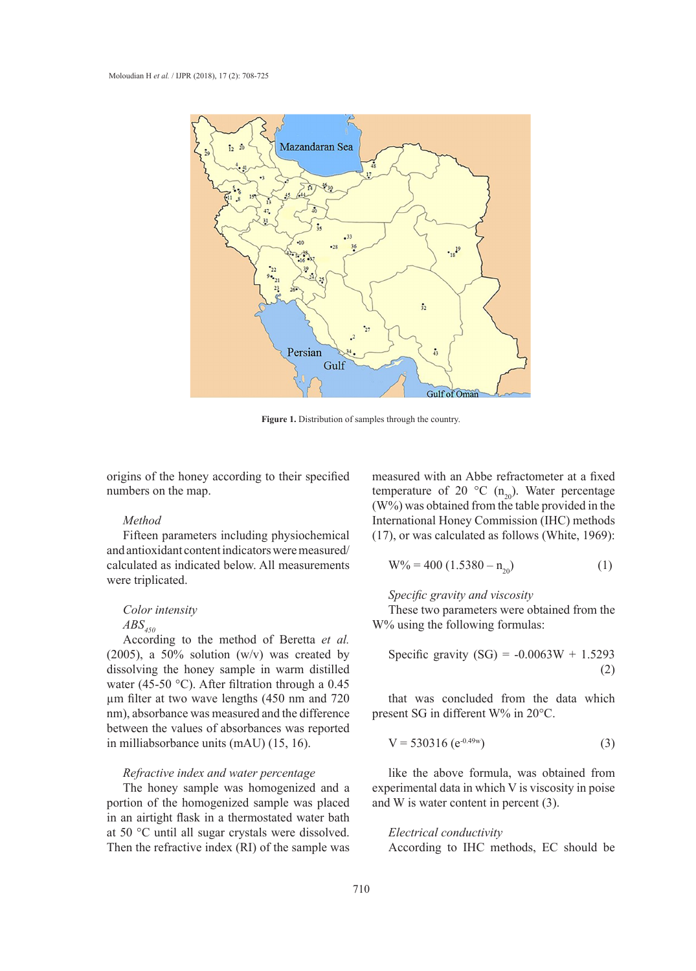

**Figure 1.** Distribution of samples through the country. **Figure 1.** Distribution of samples through the country.

origins of the honey according to their specified numbers on the map.

#### *Method*

Fifteen parameters including physiochemical and antioxidant content indicators were measured/ calculated as indicated below. All measurements were triplicated.

#### *Color intensity*

# $ABS_{450}$

According to the method of Beretta *et al.* (2005), a 50% solution  $(w/v)$  was created by dissolving the honey sample in warm distilled water (45-50 °C). After filtration through a 0.45 µm filter at two wave lengths (450 nm and 720 nm), absorbance was measured and the difference between the values of absorbances was reported in milliabsorbance units (mAU) (15, 16).

## *Refractive index and water percentage*

The honey sample was homogenized and a portion of the homogenized sample was placed in an airtight flask in a thermostated water bath at 50 °C until all sugar crystals were dissolved. Then the refractive index (RI) of the sample was

measured with an Abbe refractometer at a fixed temperature of 20  $^{\circ}$ C (n<sub>20</sub>). Water percentage (W%) was obtained from the table provided in the International Honey Commission (IHC) methods (17), or was calculated as follows (White, 1969):

$$
W\% = 400 (1.5380 - n_{20})
$$
 (1)

#### *Specific gravity and viscosity*

These two parameters were obtained from the W% using the following formulas:

Specific gravity (SG) = 
$$
-0.0063W + 1.5293
$$
 (2)

that was concluded from the data which present SG in different W% in 20°C.

$$
V = 530316 (e^{-0.49w})
$$
 (3)

like the above formula, was obtained from experimental data in which V is viscosity in poise and W is water content in percent (3).

# *Electrical conductivity*

According to IHC methods, EC should be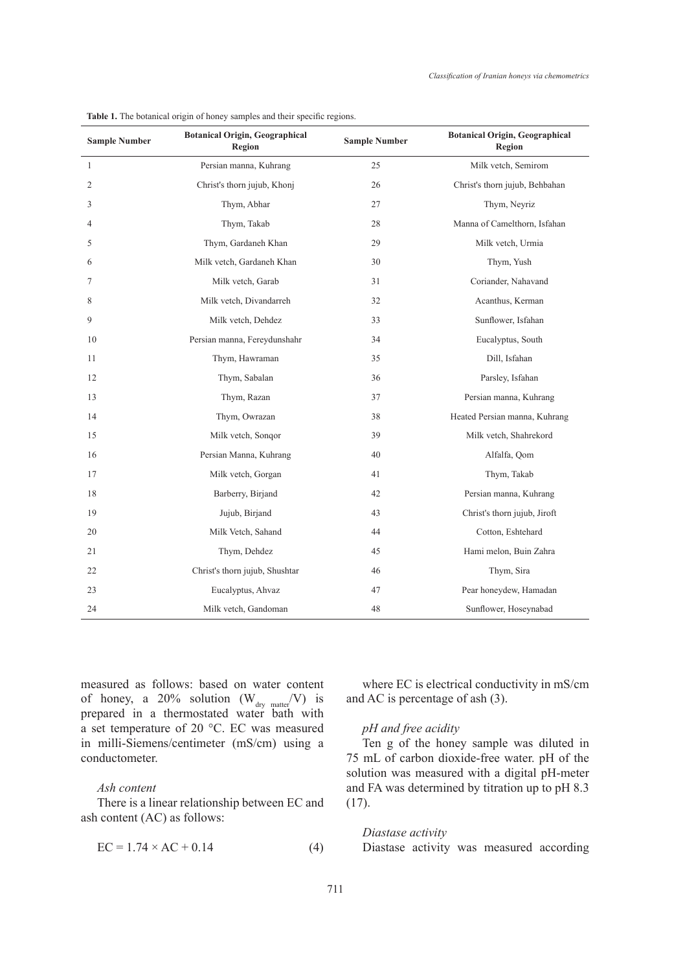| <b>Sample Number</b> | <b>Botanical Origin, Geographical</b><br>Region | <b>Sample Number</b> | <b>Botanical Origin, Geographical</b><br><b>Region</b> |
|----------------------|-------------------------------------------------|----------------------|--------------------------------------------------------|
| $\mathbf{1}$         | Persian manna, Kuhrang                          | 25                   | Milk vetch, Semirom                                    |
| 2                    | Christ's thorn jujub, Khonj                     | 26                   | Christ's thorn jujub, Behbahan                         |
| 3                    | Thym, Abhar                                     | 27                   | Thym, Neyriz                                           |
| 4                    | Thym, Takab                                     | 28                   | Manna of Camelthorn, Isfahan                           |
| 5                    | Thym, Gardaneh Khan                             | 29                   | Milk vetch, Urmia                                      |
| 6                    | Milk vetch, Gardaneh Khan                       | 30                   | Thym, Yush                                             |
| 7                    | Milk vetch, Garab                               | 31                   | Coriander, Nahavand                                    |
| 8                    | Milk vetch, Divandarreh                         | 32                   | Acanthus, Kerman                                       |
| 9                    | Milk vetch, Dehdez                              | 33                   | Sunflower, Isfahan                                     |
| 10                   | Persian manna, Fereydunshahr                    | 34                   | Eucalyptus, South                                      |
| 11                   | Thym, Hawraman                                  | 35                   | Dill, Isfahan                                          |
| 12                   | Thym, Sabalan                                   | 36                   | Parsley, Isfahan                                       |
| 13                   | Thym, Razan                                     | 37                   | Persian manna, Kuhrang                                 |
| 14                   | Thym, Owrazan                                   | 38                   | Heated Persian manna, Kuhrang                          |
| 15                   | Milk vetch, Songor                              | 39                   | Milk vetch, Shahrekord                                 |
| 16                   | Persian Manna, Kuhrang                          | 40                   | Alfalfa, Qom                                           |
| 17                   | Milk vetch, Gorgan                              | 41                   | Thym, Takab                                            |
| 18                   | Barberry, Birjand                               | 42                   | Persian manna, Kuhrang                                 |
| 19                   | Jujub, Birjand                                  | 43                   | Christ's thorn jujub, Jiroft                           |
| 20                   | Milk Vetch, Sahand                              | 44                   | Cotton, Eshtehard                                      |
| 21                   | Thym, Dehdez                                    | 45                   | Hami melon, Buin Zahra                                 |
| 22                   | Christ's thorn jujub, Shushtar                  | 46                   | Thym, Sira                                             |
| 23                   | Eucalyptus, Ahvaz                               | 47                   | Pear honeydew, Hamadan                                 |
| 24                   | Milk vetch, Gandoman                            | 48                   | Sunflower, Hoseynabad                                  |

**Table 1.** The botanical origin of honey samples and their specific regions.

measured as follows: based on water content of honey, a 20% solution  $(W_{\text{dry matter}}/V)$  is prepared in a thermostated water bath with a set temperature of 20 °C. EC was measured in milli-Siemens/centimeter (mS/cm) using a conductometer.

## *Ash content*

There is a linear relationship between EC and ash content (AC) as follows:

$$
EC = 1.74 \times AC + 0.14
$$
 (4)

where EC is electrical conductivity in mS/cm and AC is percentage of ash (3).

# *pH and free acidity*

Ten g of the honey sample was diluted in 75 mL of carbon dioxide-free water. pH of the solution was measured with a digital pH-meter and FA was determined by titration up to pH 8.3 (17).

*Diastase activity* Diastase activity was measured according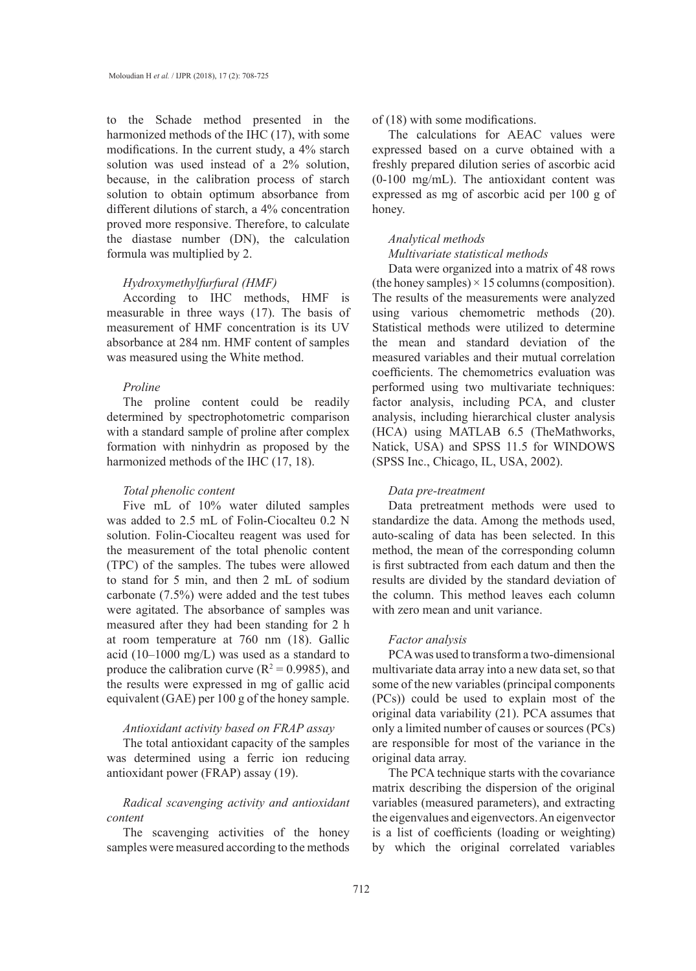to the Schade method presented in the harmonized methods of the IHC (17), with some modifications. In the current study, a 4% starch solution was used instead of a 2% solution, because, in the calibration process of starch solution to obtain optimum absorbance from different dilutions of starch, a 4% concentration proved more responsive. Therefore, to calculate the diastase number (DN), the calculation formula was multiplied by 2.

#### *Hydroxymethylfurfural (HMF)*

According to IHC methods, HMF is measurable in three ways (17). The basis of measurement of HMF concentration is its UV absorbance at 284 nm. HMF content of samples was measured using the White method.

## *Proline*

The proline content could be readily determined by spectrophotometric comparison with a standard sample of proline after complex formation with ninhydrin as proposed by the harmonized methods of the IHC (17, 18).

#### *Total phenolic content*

Five mL of 10% water diluted samples was added to 2.5 mL of Folin-Ciocalteu 0.2 N solution. Folin-Ciocalteu reagent was used for the measurement of the total phenolic content (TPC) of the samples. The tubes were allowed to stand for 5 min, and then 2 mL of sodium carbonate (7.5%) were added and the test tubes were agitated. The absorbance of samples was measured after they had been standing for 2 h at room temperature at 760 nm (18). Gallic acid (10–1000 mg/L) was used as a standard to produce the calibration curve ( $R^2 = 0.9985$ ), and the results were expressed in mg of gallic acid equivalent (GAE) per 100 g of the honey sample.

# *Antioxidant activity based on FRAP assay*

The total antioxidant capacity of the samples was determined using a ferric ion reducing antioxidant power (FRAP) assay (19).

# *Radical scavenging activity and antioxidant content*

The scavenging activities of the honey samples were measured according to the methods

# of (18) with some modifications.

The calculations for AEAC values were expressed based on a curve obtained with a freshly prepared dilution series of ascorbic acid (0-100 mg/mL). The antioxidant content was expressed as mg of ascorbic acid per 100 g of honey.

#### *Analytical methods Multivariate statistical methods*

Data were organized into a matrix of 48 rows (the honey samples)  $\times$  15 columns (composition). The results of the measurements were analyzed using various chemometric methods (20). Statistical methods were utilized to determine the mean and standard deviation of the measured variables and their mutual correlation coefficients. The chemometrics evaluation was performed using two multivariate techniques: factor analysis, including PCA, and cluster analysis, including hierarchical cluster analysis (HCA) using MATLAB 6.5 (TheMathworks, Natick, USA) and SPSS 11.5 for WINDOWS (SPSS Inc., Chicago, IL, USA, 2002).

# *Data pre-treatment*

Data pretreatment methods were used to standardize the data. Among the methods used, auto-scaling of data has been selected. In this method, the mean of the corresponding column is first subtracted from each datum and then the results are divided by the standard deviation of the column. This method leaves each column with zero mean and unit variance.

#### *Factor analysis*

PCA was used to transform a two-dimensional multivariate data array into a new data set, so that some of the new variables (principal components (PCs)) could be used to explain most of the original data variability (21). PCA assumes that only a limited number of causes or sources (PCs) are responsible for most of the variance in the original data array.

The PCA technique starts with the covariance matrix describing the dispersion of the original variables (measured parameters), and extracting the eigenvalues and eigenvectors. An eigenvector is a list of coefficients (loading or weighting) by which the original correlated variables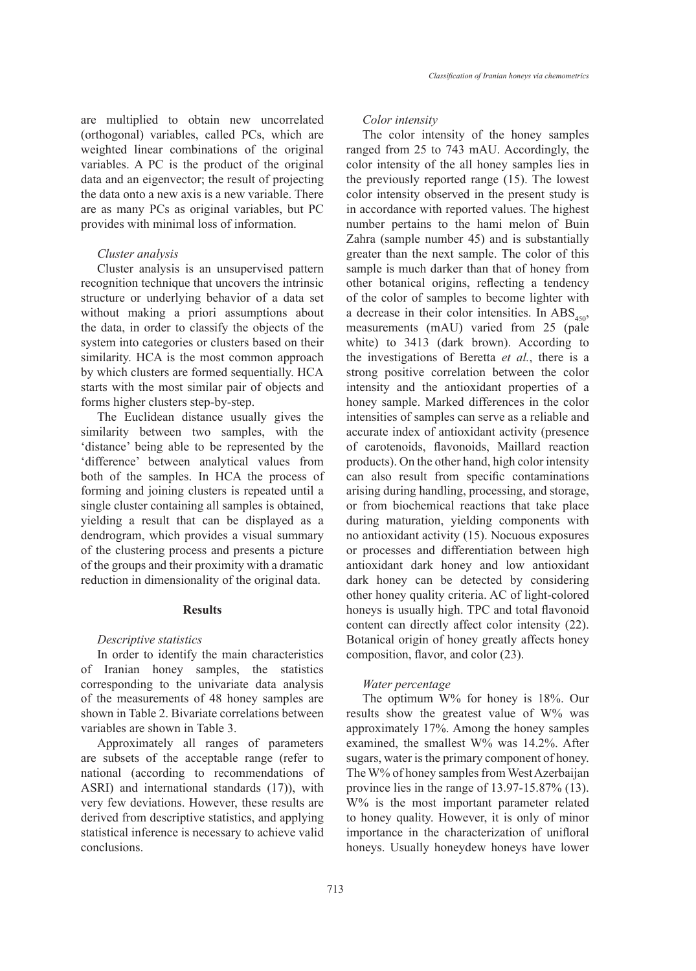are multiplied to obtain new uncorrelated (orthogonal) variables, called PCs, which are weighted linear combinations of the original variables. A PC is the product of the original data and an eigenvector; the result of projecting the data onto a new axis is a new variable. There are as many PCs as original variables, but PC provides with minimal loss of information.

#### *Cluster analysis*

Cluster analysis is an unsupervised pattern recognition technique that uncovers the intrinsic structure or underlying behavior of a data set without making a priori assumptions about the data, in order to classify the objects of the system into categories or clusters based on their similarity. HCA is the most common approach by which clusters are formed sequentially. HCA starts with the most similar pair of objects and forms higher clusters step-by-step.

The Euclidean distance usually gives the similarity between two samples, with the 'distance' being able to be represented by the 'difference' between analytical values from both of the samples. In HCA the process of forming and joining clusters is repeated until a single cluster containing all samples is obtained, yielding a result that can be displayed as a dendrogram, which provides a visual summary of the clustering process and presents a picture of the groups and their proximity with a dramatic reduction in dimensionality of the original data.

# **Results**

#### *Descriptive statistics*

In order to identify the main characteristics of Iranian honey samples, the statistics corresponding to the univariate data analysis of the measurements of 48 honey samples are shown in Table 2. Bivariate correlations between variables are shown in Table 3.

Approximately all ranges of parameters are subsets of the acceptable range (refer to national (according to recommendations of ASRI) and international standards (17)), with very few deviations. However, these results are derived from descriptive statistics, and applying statistical inference is necessary to achieve valid conclusions.

#### *Color intensity*

The color intensity of the honey samples ranged from 25 to 743 mAU. Accordingly, the color intensity of the all honey samples lies in the previously reported range (15). The lowest color intensity observed in the present study is in accordance with reported values. The highest number pertains to the hami melon of Buin Zahra (sample number 45) and is substantially greater than the next sample. The color of this sample is much darker than that of honey from other botanical origins, reflecting a tendency of the color of samples to become lighter with a decrease in their color intensities. In  $\text{ABS}_{450}$ , measurements (mAU) varied from 25 (pale white) to 3413 (dark brown). According to the investigations of Beretta *et al.*, there is a strong positive correlation between the color intensity and the antioxidant properties of a honey sample. Marked differences in the color intensities of samples can serve as a reliable and accurate index of antioxidant activity (presence of carotenoids, flavonoids, Maillard reaction products). On the other hand, high color intensity can also result from specific contaminations arising during handling, processing, and storage, or from biochemical reactions that take place during maturation, yielding components with no antioxidant activity (15). Nocuous exposures or processes and differentiation between high antioxidant dark honey and low antioxidant dark honey can be detected by considering other honey quality criteria. AC of light-colored honeys is usually high. TPC and total flavonoid content can directly affect color intensity (22). Botanical origin of honey greatly affects honey composition, flavor, and color (23).

#### *Water percentage*

The optimum W% for honey is 18%. Our results show the greatest value of W% was approximately 17%. Among the honey samples examined, the smallest W% was 14.2%. After sugars, water is the primary component of honey. The W% of honey samples from West Azerbaijan province lies in the range of 13.97-15.87% (13). W% is the most important parameter related to honey quality. However, it is only of minor importance in the characterization of unifloral honeys. Usually honeydew honeys have lower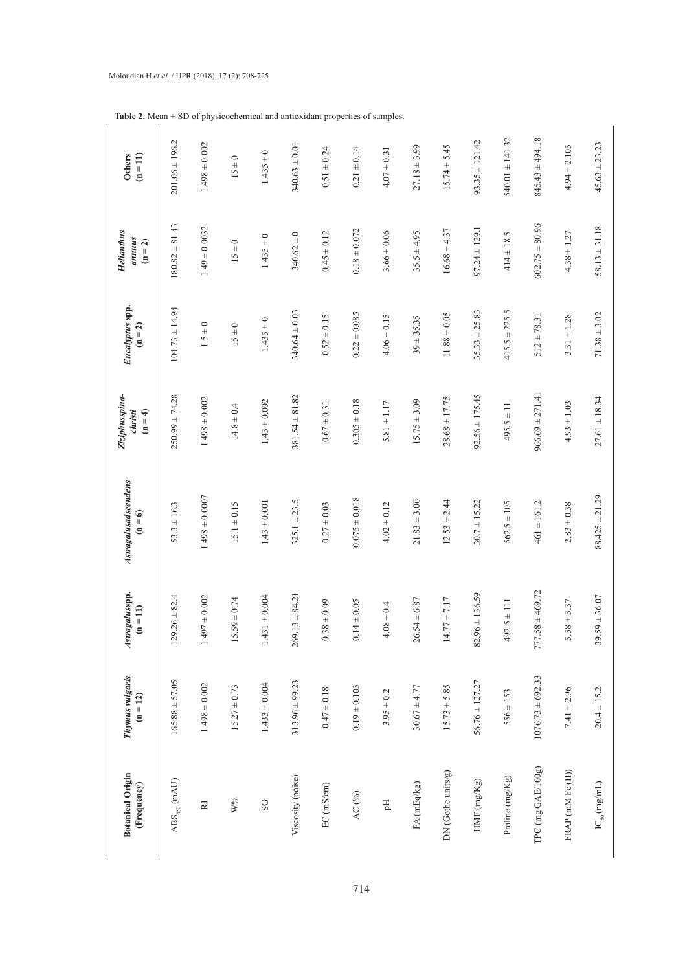| <b>Botanical Origin</b><br>(Frequency)   | Thymus vulgaris<br>$(n = 12)$ | Astragalusspp.<br>$(n = 11)$ | Astragalusadscendens<br>$(n = 6)$ | Ziziphusspina-<br>christi<br>$(n = 4)$ | Eucalyptus spp.<br>$(n = 2)$ | <b>Helianthus</b><br>annuus<br>$(n = 2)$ | <b>Others</b><br>$(n = 11)$ |
|------------------------------------------|-------------------------------|------------------------------|-----------------------------------|----------------------------------------|------------------------------|------------------------------------------|-----------------------------|
| $\mathrm{ABS}_{450}$ (mAU)               | $165.88 \pm 57.05$            | $129.26 \pm 82.4$            | $53.3 \pm 16.3$                   | $250.99 \pm 74.28$                     | $104.73 \pm 14.94$           | $180.82 \pm 81.43$                       | $201.06 \pm 196.2$          |
| $\mathbb R$                              | $1.498 \pm 0.002$             | $.497 \pm 0.002$             | $1.498 \pm 0.0007$                | $1.498 \pm 0.002$                      | $1.5 \pm 0$                  | $1.49 \pm 0.0032$                        | $1.498 \pm 0.002$           |
| $\mathbf{W}^{\mathbf{0}}\!_{\mathbf{0}}$ | $15.27 \pm 0.73$              | $5.59 \pm 0.74$              | $15.1 \pm 0.15$                   | $14.8 \pm 0.4$                         | $15 \pm 0$                   | $15 \pm 0$                               | $15 \pm 0$                  |
| SG                                       | $1.433 \pm 0.004$             | $.431 \pm 0.004$             | $1.43 \pm 0.001$                  | $1.43 \pm 0.002$                       | $1.435 \pm 0$                | $1.435 \pm 0$                            | $1.435 \pm 0$               |
| Viscosity (poise)                        | $313.96 \pm 99.23$            | $269.13 \pm 84.21$           | $325.1 \pm 23.5$                  | $381.54 \pm 81.82$                     | $340.64 \pm 0.03$            | $340.62 \pm 0$                           | $340.63 \pm 0.01$           |
| EC (mS/cm)                               | $0.47 \pm 0.18$               | $0.38 \pm 0.09$              | $0.27 \pm 0.03$                   | $0.67 \pm 0.31$                        | $0.52 \pm 0.15$              | $0.45 \pm 0.12$                          | $0.51 \pm 0.24$             |
| AC $(^{96})$                             | $0.19 \pm 0.103$              | $0.14 \pm 0.05$              | $0.075 \pm 0.018$                 | $0.305 \pm 0.18$                       | $0.22 \pm 0.085$             | $0.18 \pm 0.072$                         | $0.21 \pm 0.14$             |
| E                                        | $3.95 \pm 0.2$                | $4.08 \pm 0.4$               | $4.02 \pm 0.12$                   | $5.81 \pm 1.17$                        | $4.06 \pm 0.15$              | $3.66 \pm 0.06$                          | $4.07 \pm 0.31$             |
| FA (mEq/kg)                              | $30.67 \pm 4.77$              | $26.54 \pm 6.87$             | $21.83 \pm 3.06$                  | $15.75 \pm 3.09$                       | $39 + 35.35$                 | $35.5 \pm 4.95$                          | $27.18 \pm 3.99$            |
| DN (Gothe units/g)                       | $15.73 \pm 5.85$              | $14.77 \pm 7.17$             | $12.53 \pm 2.44$                  | $28.68 \pm 17.75$                      | $11.88 \pm 0.05$             | $16.68 \pm 4.37$                         | $15.74 \pm 5.45$            |
| HMF $(mgKg)$                             | $56.76 \pm 127.27$            | $82.96 \pm 136.59$           | $30.7 \pm 15.22$                  | $92.56 \pm 175.45$                     | $35.33 \pm 25.83$            | $97.24 \pm 129.1$                        | $93.35 \pm 121.42$          |
| Proline (mg/Kg)                          | $556 \pm 153$                 | $492.5 \pm 111$              | $562.5 \pm 105$                   | $495.5 \pm 11$                         | $415.5 \pm 225.5$            | $414 \pm 18.5$                           | $540.01 \pm 141.32$         |
| TPC (mg GAE/100g)                        | $1076.73 \pm 692.33$          | $777.58 \pm 469.72$          | $461 \pm 161.2$                   | $966.69 \pm 271.41$                    | $512 \pm 78.31$              | $602.75 \pm 80.96$                       | $845.43 \pm 494.18$         |
| FRAP (mM Fe(II))                         | $7.41 \pm 2.96$               | $5.58 \pm 3.37$              | $2.83 \pm 0.38$                   | $4.93 \pm 1.03$                        | $3.31 \pm 1.28$              | $4.38 \pm 1.27$                          | $4.94 \pm 2.105$            |
| $\mathrm{IC}_{\rm{50}}\mathrm{(mg/mL)}$  | $20.4 \pm 15.2$               | $39.59 \pm 36.07$            | $88.425 \pm 21.29$                | $27.61 \pm 18.34$                      | $71.38 \pm 3.02$             | $58.13 \pm 31.18$                        | $45.63 \pm 23.23$           |

**Table 2.** Mean ± SD of physicochemical and antioxidant properties of samples.

# Moloudian H *et al.* / IJPR (2018), 17 (2): 708-725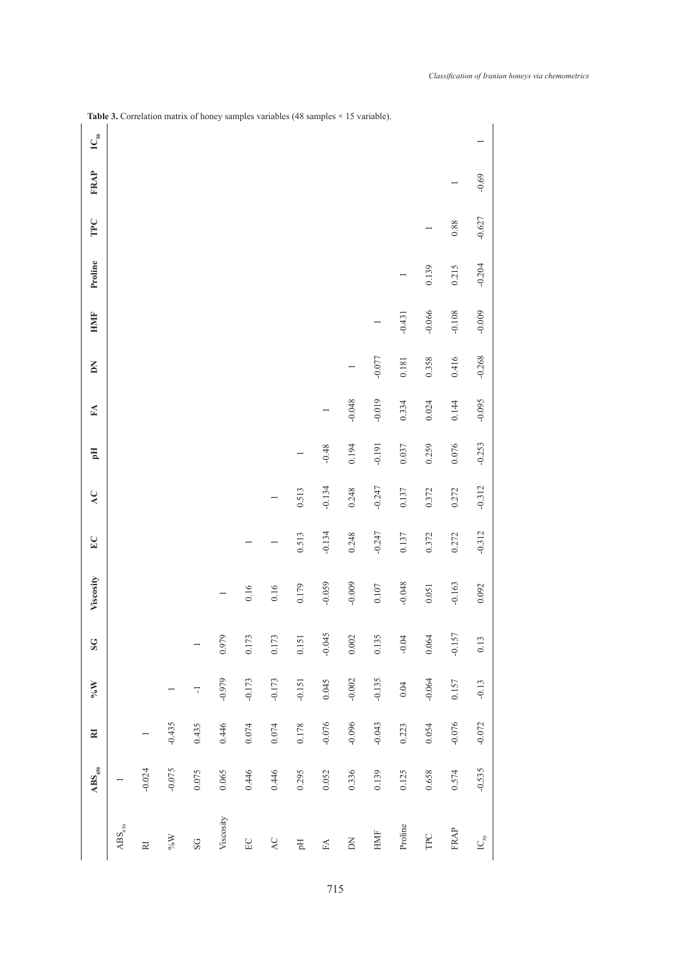|                                        | $\mathrm{ABS}_{450}$ | $\overline{\mathbf{z}}$ | $\mathbf{W}^{\mathfrak{d}}$ | S G       | Viscosity | EC       | AC       | Eq       | FA       | ΔN       | <b>HMIF</b> | Proline  | TPC      | <b>FRAP</b> | $IC_{50}$ |
|----------------------------------------|----------------------|-------------------------|-----------------------------|-----------|-----------|----------|----------|----------|----------|----------|-------------|----------|----------|-------------|-----------|
| $\mathrm{ABS}_{450}$                   |                      |                         |                             |           |           |          |          |          |          |          |             |          |          |             |           |
| RI                                     | $-0.024$             |                         |                             |           |           |          |          |          |          |          |             |          |          |             |           |
| $\mathrm{W}^{\mathrm{o}\!/\mathrm{o}}$ | $-0.075$             | $-0.435$                |                             |           |           |          |          |          |          |          |             |          |          |             |           |
| SG                                     | 0.075                | 0.435                   | T                           |           |           |          |          |          |          |          |             |          |          |             |           |
| Viscosity                              | 0.065                | 0.446                   | $-0.979$                    | 0.979     |           |          |          |          |          |          |             |          |          |             |           |
| $\operatorname{EC}$                    | 0.446                | $0.074\,$               | $-0.173$                    | 0.173     | 0.16      |          |          |          |          |          |             |          |          |             |           |
| $\mathsf{AC}$                          | 0.446                | $0.074\,$               | $-0.173$                    | 0.173     | 0.16      |          |          |          |          |          |             |          |          |             |           |
| Еq                                     | 0.295                | 0.178                   | $-0.151$                    | 0.151     | 0.179     | 0.513    | 0.513    |          |          |          |             |          |          |             |           |
| $\mathbb{F}\mathbb{A}$                 | 0.052                | $-0.076$                | 0.045                       | $-0.045$  | $-0.059$  | $-0.134$ | $-0.134$ | $-0.48$  |          |          |             |          |          |             |           |
| $\mathop{\rm N}\nolimits$              | 0.336                | $-0.096$                | $-0.002$                    | $0.002\,$ | $-0.009$  | 0.248    | 0.248    | 0.194    | $-0.048$ |          |             |          |          |             |           |
| ${\rm HMF}$                            | 0.139                | $-0.043$                | $-0.135$                    | 0.135     | 0.107     | $-0.247$ | $-0.247$ | $-0.191$ | $-0.019$ | $-0.077$ |             |          |          |             |           |
| Proline                                | 0.125                | 0.223                   | $0.04\,$                    | $-0.04$   | $-0.048$  | 0.137    | 0.137    | 0.037    | 0.334    | 0.181    | $-0.431$    |          |          |             |           |
| TPC                                    | 0.658                | 0.054                   | $-0.064$                    | $0.064$   | 0.051     | 0.372    | 0.372    | 0.259    | 0.024    | 0.358    | $-0.066$    | 0.139    |          |             |           |
| <b>FRAP</b>                            | 0.574                | $-0.076$                | 0.157                       | $-0.157$  | $-0.163$  | 0.272    | 0.272    | 0.076    | 0.144    | 0.416    | $-0.108$    | 0.215    | $0.88\,$ |             |           |
| $\mathop{\rm IC}\nolimits_{50}$        | $-0.535$             | $-0.072$                | $-0.13$                     | 0.13      | 0.092     | $-0.312$ | $-0.312$ | $-0.253$ | $-0.095$ | $-0.268$ | $-0.009$    | $-0.204$ | $-0.627$ | $-0.69$     |           |
|                                        |                      |                         |                             |           |           |          |          |          |          |          |             |          |          |             |           |

Table 3. Correlation matrix of honey samples variables (48 samples × 15 variable).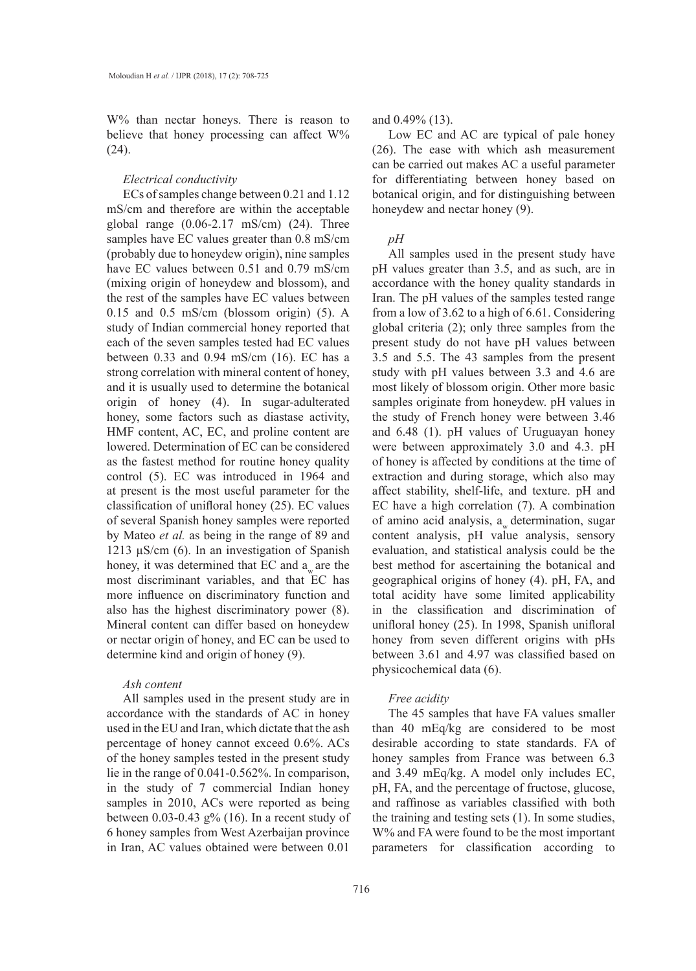W% than nectar honeys. There is reason to believe that honey processing can affect W% (24).

## *Electrical conductivity*

ECs of samples change between 0.21 and 1.12 mS/cm and therefore are within the acceptable global range (0.06-2.17 mS/cm) (24). Three samples have EC values greater than 0.8 mS/cm (probably due to honeydew origin), nine samples have EC values between 0.51 and 0.79 mS/cm (mixing origin of honeydew and blossom), and the rest of the samples have EC values between 0.15 and 0.5 mS/cm (blossom origin) (5). A study of Indian commercial honey reported that each of the seven samples tested had EC values between 0.33 and 0.94 mS/cm (16). EC has a strong correlation with mineral content of honey, and it is usually used to determine the botanical origin of honey (4). In sugar-adulterated honey, some factors such as diastase activity, HMF content, AC, EC, and proline content are lowered. Determination of EC can be considered as the fastest method for routine honey quality control (5). EC was introduced in 1964 and at present is the most useful parameter for the classification of unifloral honey (25). EC values of several Spanish honey samples were reported by Mateo *et al.* as being in the range of 89 and 1213 µS/cm (6). In an investigation of Spanish honey, it was determined that EC and  $a<sub>w</sub>$  are the most discriminant variables, and that EC has more influence on discriminatory function and also has the highest discriminatory power (8). Mineral content can differ based on honeydew or nectar origin of honey, and EC can be used to determine kind and origin of honey (9).

# *Ash content*

All samples used in the present study are in accordance with the standards of AC in honey used in the EU and Iran, which dictate that the ash percentage of honey cannot exceed 0.6%. ACs of the honey samples tested in the present study lie in the range of 0.041-0.562%. In comparison, in the study of 7 commercial Indian honey samples in 2010, ACs were reported as being between 0.03-0.43 g% (16). In a recent study of 6 honey samples from West Azerbaijan province in Iran, AC values obtained were between 0.01

#### and 0.49% (13).

Low EC and AC are typical of pale honey (26). The ease with which ash measurement can be carried out makes AC a useful parameter for differentiating between honey based on botanical origin, and for distinguishing between honeydew and nectar honey (9).

#### *pH*

All samples used in the present study have pH values greater than 3.5, and as such, are in accordance with the honey quality standards in Iran. The pH values of the samples tested range from a low of 3.62 to a high of 6.61. Considering global criteria (2); only three samples from the present study do not have pH values between 3.5 and 5.5. The 43 samples from the present study with pH values between 3.3 and 4.6 are most likely of blossom origin. Other more basic samples originate from honeydew. pH values in the study of French honey were between 3.46 and 6.48 (1). pH values of Uruguayan honey were between approximately 3.0 and 4.3. pH of honey is affected by conditions at the time of extraction and during storage, which also may affect stability, shelf-life, and texture. pH and EC have a high correlation (7). A combination of amino acid analysis, a determination, sugar content analysis, pH value analysis, sensory evaluation, and statistical analysis could be the best method for ascertaining the botanical and geographical origins of honey (4). pH, FA, and total acidity have some limited applicability in the classification and discrimination of unifloral honey (25). In 1998, Spanish unifloral honey from seven different origins with pHs between 3.61 and 4.97 was classified based on physicochemical data (6).

#### *Free acidity*

The 45 samples that have FA values smaller than 40 mEq/kg are considered to be most desirable according to state standards. FA of honey samples from France was between 6.3 and 3.49 mEq/kg. A model only includes EC, pH, FA, and the percentage of fructose, glucose, and raffinose as variables classified with both the training and testing sets (1). In some studies, W% and FA were found to be the most important parameters for classification according to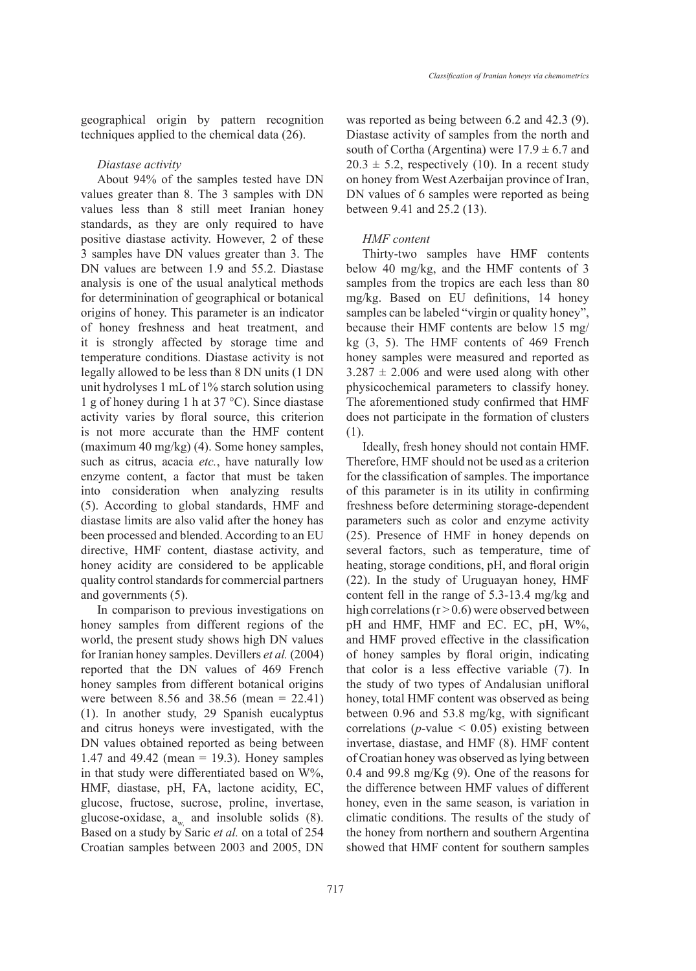geographical origin by pattern recognition techniques applied to the chemical data (26).

*Diastase activity*

About 94% of the samples tested have DN values greater than 8. The 3 samples with DN values less than 8 still meet Iranian honey standards, as they are only required to have positive diastase activity. However, 2 of these 3 samples have DN values greater than 3. The DN values are between 1.9 and 55.2. Diastase analysis is one of the usual analytical methods for determinination of geographical or botanical origins of honey. This parameter is an indicator of honey freshness and heat treatment, and it is strongly affected by storage time and temperature conditions. Diastase activity is not legally allowed to be less than 8 DN units (1 DN unit hydrolyses 1 mL of 1% starch solution using 1 g of honey during 1 h at 37 °C). Since diastase activity varies by floral source, this criterion is not more accurate than the HMF content (maximum 40 mg/kg) (4). Some honey samples, such as citrus, acacia *etc.*, have naturally low enzyme content, a factor that must be taken into consideration when analyzing results (5). According to global standards, HMF and diastase limits are also valid after the honey has been processed and blended. According to an EU directive, HMF content, diastase activity, and honey acidity are considered to be applicable quality control standards for commercial partners and governments (5).

In comparison to previous investigations on honey samples from different regions of the world, the present study shows high DN values for Iranian honey samples. Devillers *et al.* (2004) reported that the DN values of 469 French honey samples from different botanical origins were between 8.56 and 38.56 (mean = 22.41) (1). In another study, 29 Spanish eucalyptus and citrus honeys were investigated, with the DN values obtained reported as being between 1.47 and 49.42 (mean = 19.3). Honey samples in that study were differentiated based on W%, HMF, diastase, pH, FA, lactone acidity, EC, glucose, fructose, sucrose, proline, invertase, glucose-oxidase,  $a_w$  and insoluble solids  $(8)$ . Based on a study by Saric *et al.* on a total of 254 Croatian samples between 2003 and 2005, DN was reported as being between 6.2 and 42.3 (9). Diastase activity of samples from the north and south of Cortha (Argentina) were  $17.9 \pm 6.7$  and  $20.3 \pm 5.2$ , respectively (10). In a recent study on honey from West Azerbaijan province of Iran, DN values of 6 samples were reported as being between 9.41 and 25.2 (13).

#### *HMF content*

Thirty-two samples have HMF contents below 40 mg/kg, and the HMF contents of 3 samples from the tropics are each less than 80 mg/kg. Based on EU definitions, 14 honey samples can be labeled "virgin or quality honey", because their HMF contents are below 15 mg/ kg (3, 5). The HMF contents of 469 French honey samples were measured and reported as  $3.287 \pm 2.006$  and were used along with other physicochemical parameters to classify honey. The aforementioned study confirmed that HMF does not participate in the formation of clusters (1).

Ideally, fresh honey should not contain HMF. Therefore, HMF should not be used as a criterion for the classification of samples. The importance of this parameter is in its utility in confirming freshness before determining storage-dependent parameters such as color and enzyme activity (25). Presence of HMF in honey depends on several factors, such as temperature, time of heating, storage conditions, pH, and floral origin (22). In the study of Uruguayan honey, HMF content fell in the range of 5.3-13.4 mg/kg and high correlations ( $r > 0.6$ ) were observed between pH and HMF, HMF and EC. EC, pH, W%, and HMF proved effective in the classification of honey samples by floral origin, indicating that color is a less effective variable (7). In the study of two types of Andalusian unifloral honey, total HMF content was observed as being between 0.96 and 53.8 mg/kg, with significant correlations ( $p$ -value < 0.05) existing between invertase, diastase, and HMF (8). HMF content of Croatian honey was observed as lying between 0.4 and 99.8 mg/Kg (9). One of the reasons for the difference between HMF values of different honey, even in the same season, is variation in climatic conditions. The results of the study of the honey from northern and southern Argentina showed that HMF content for southern samples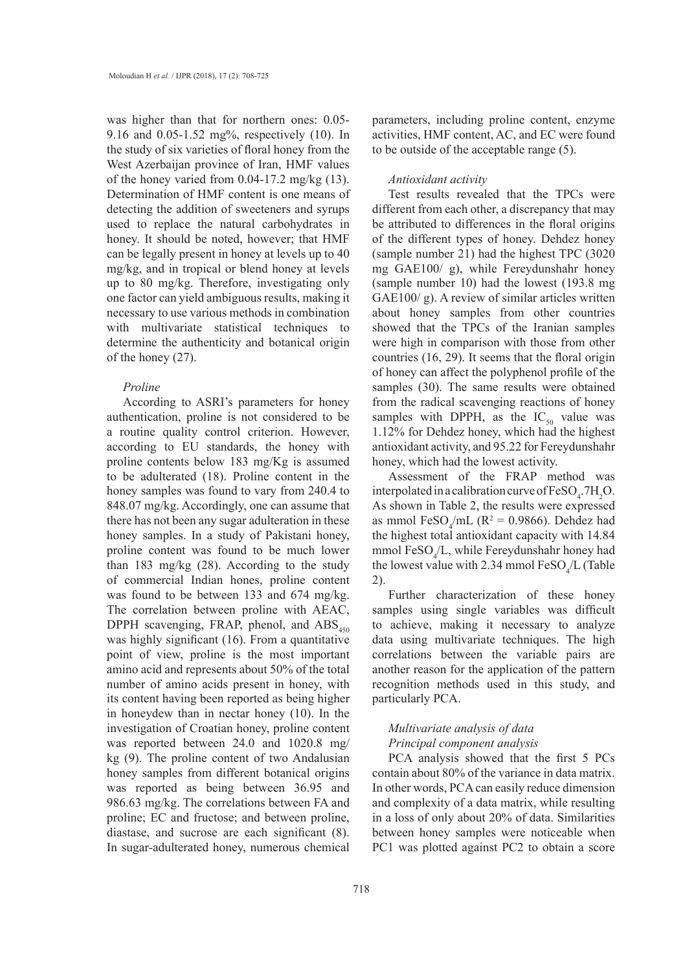was higher than that for northern ones: 0.05- 9.16 and 0.05-1.52 mg%, respectively (10). In the study of six varieties of floral honey from the West Azerbaijan province of Iran, HMF values of the honey varied from  $0.04$ -17.2 mg/kg  $(13)$ . Determination of HMF content is one means of detecting the addition of sweeteners and syrups used to replace the natural carbohydrates in honey. It should be noted, however; that HMF can be legally present in honey at levels up to 40 mg/kg, and in tropical or blend honey at levels up to 80 mg/kg. Therefore, investigating only one factor can yield ambiguous results, making it necessary to use various methods in combination with multivariate statistical techniques to determine the authenticity and botanical origin of the honey (27).

# *Proline*

According to ASRI's parameters for honey authentication, proline is not considered to be a routine quality control criterion. However, according to EU standards, the honey with proline contents below 183 mg/Kg is assumed to be adulterated (18). Proline content in the honey samples was found to vary from 240.4 to 848.07 mg/kg. Accordingly, one can assume that there has not been any sugar adulteration in these honey samples. In a study of Pakistani honey, proline content was found to be much lower than 183 mg/kg (28). According to the study of commercial Indian hones, proline content was found to be between 133 and 674 mg/kg. The correlation between proline with AEAC, DPPH scavenging, FRAP, phenol, and  $\text{ABS}_{450}$ was highly significant (16). From a quantitative point of view, proline is the most important amino acid and represents about 50% of the total number of amino acids present in honey, with its content having been reported as being higher in honeydew than in nectar honey (10). In the investigation of Croatian honey, proline content was reported between 24.0 and 1020.8 mg/ kg (9). The proline content of two Andalusian honey samples from different botanical origins was reported as being between 36.95 and 986.63 mg/kg. The correlations between FA and proline; EC and fructose; and between proline, diastase, and sucrose are each significant (8). In sugar-adulterated honey, numerous chemical

parameters, including proline content, enzyme activities, HMF content, AC, and EC were found to be outside of the acceptable range (5).

### *Antioxidant activity*

Test results revealed that the TPCs were different from each other, a discrepancy that may be attributed to differences in the floral origins of the different types of honey. Dehdez honey (sample number 21) had the highest TPC (3020 mg GAE100/ g), while Fereydunshahr honey (sample number 10) had the lowest (193.8 mg GAE100/ g). A review of similar articles written about honey samples from other countries showed that the TPCs of the Iranian samples were high in comparison with those from other countries (16, 29). It seems that the floral origin of honey can affect the polyphenol profile of the samples (30). The same results were obtained from the radical scavenging reactions of honey samples with DPPH, as the  $IC_{50}$  value was 1.12% for Dehdez honey, which had the highest antioxidant activity, and 95.22 for Fereydunshahr honey, which had the lowest activity.

Assessment of the FRAP method was interpolated in a calibration curve of  $\text{FeSO}_4$ .  $7\text{H}_2\text{O}$ . As shown in Table 2, the results were expressed as mmol FeSO<sub>4</sub>/mL ( $R^2 = 0.9866$ ). Dehdez had the highest total antioxidant capacity with 14.84 mmol  $\text{FeSO}_4/L$ , while Fereydunshahr honey had the lowest value with 2.34 mmol  $\text{FeSO}_4/L$  (Table 2).

Further characterization of these honey samples using single variables was difficult to achieve, making it necessary to analyze data using multivariate techniques. The high correlations between the variable pairs are another reason for the application of the pattern recognition methods used in this study, and particularly PCA.

# *Multivariate analysis of data Principal component analysis*

PCA analysis showed that the first 5 PCs contain about 80% of the variance in data matrix. In other words, PCA can easily reduce dimension and complexity of a data matrix, while resulting in a loss of only about 20% of data. Similarities between honey samples were noticeable when PC1 was plotted against PC2 to obtain a score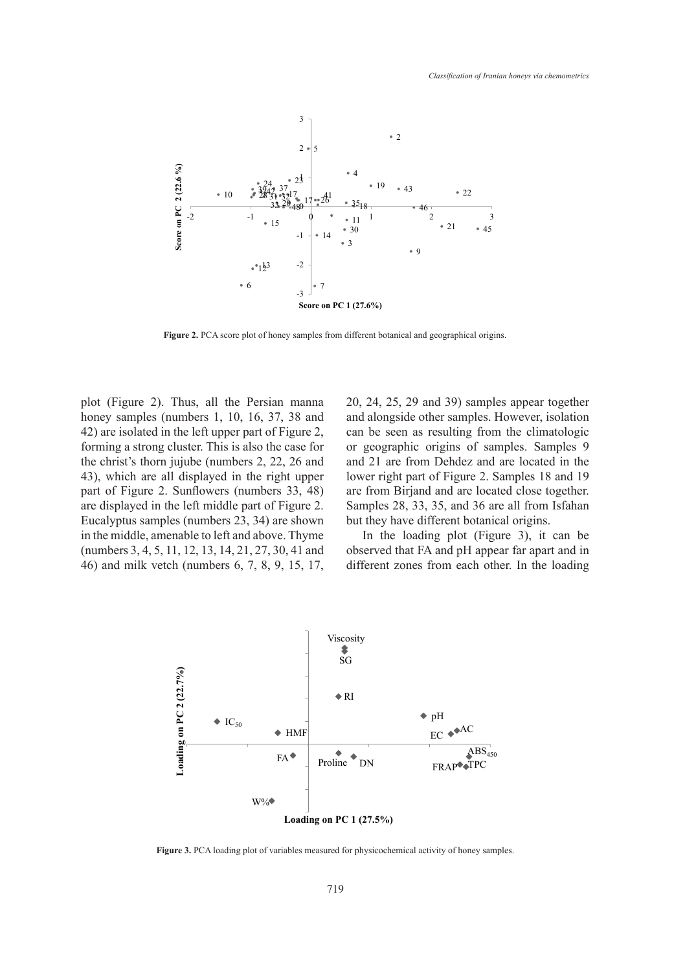

**Figure 2.** PCA score plot of honey samples from different botanical and geographical origins. **Figure 2.** PCA score plot of honey samples from different botanical and geographical origins.

plot (Figure 2). Thus, all the Persian manna honey samples (numbers 1, 10, 16, 37, 38 and 42) are isolated in the left upper part of Figure 2, forming a strong cluster. This is also the case for the christ's thorn jujube (numbers 2, 22, 26 and 43), which are all displayed in the right upper part of Figure 2. Sunflowers (numbers 33, 48) are displayed in the left middle part of Figure 2. Eucalyptus samples (numbers 23, 34) are shown in the middle, amenable to left and above. Thyme (numbers 3, 4, 5, 11, 12, 13, 14, 21, 27, 30, 41 and 46) and milk vetch (numbers 6, 7, 8, 9, 15, 17, 20, 24, 25, 29 and 39) samples appear together and alongside other samples. However, isolation can be seen as resulting from the climatologic or geographic origins of samples. Samples 9 and 21 are from Dehdez and are located in the lower right part of Figure 2. Samples 18 and 19 are from Birjand and are located close together. Samples 28, 33, 35, and 36 are all from Isfahan but they have different botanical origins.

In the loading plot (Figure 3), it can be observed that FA and pH appear far apart and in different zones from each other. In the loading



**Figure 3.** PCA loading plot of variables measured for physicochemical activity of honey samples. **Figure 3.** PCA loading plot of variables measured for physicochemical activity of honey samples.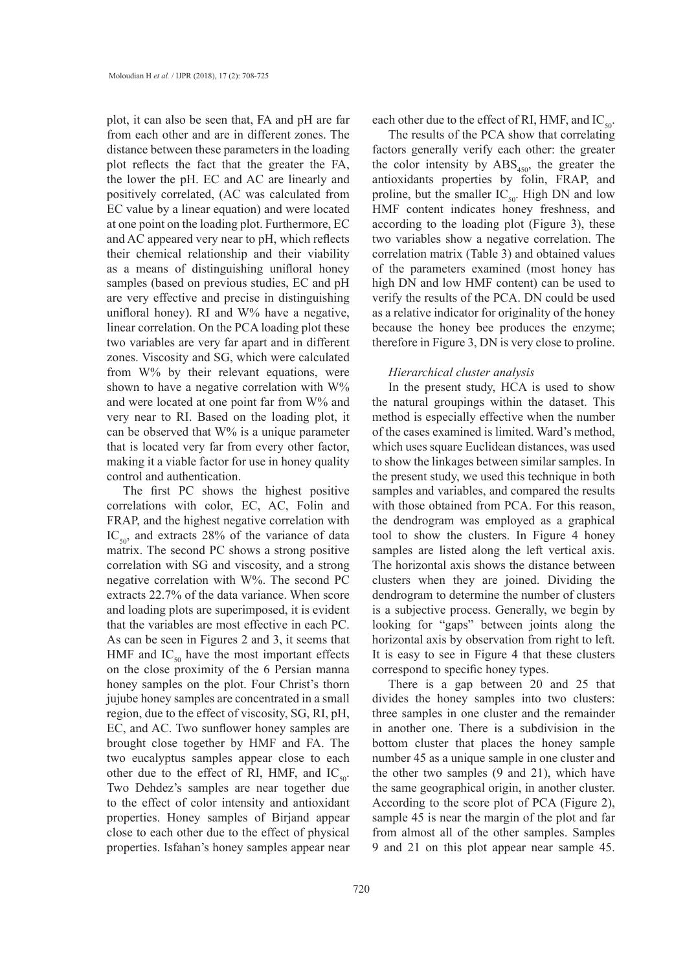plot, it can also be seen that, FA and pH are far from each other and are in different zones. The distance between these parameters in the loading plot reflects the fact that the greater the FA, the lower the pH. EC and AC are linearly and positively correlated, (AC was calculated from EC value by a linear equation) and were located at one point on the loading plot. Furthermore, EC and AC appeared very near to pH, which reflects their chemical relationship and their viability as a means of distinguishing unifloral honey samples (based on previous studies, EC and pH are very effective and precise in distinguishing unifloral honey). RI and W% have a negative, linear correlation. On the PCA loading plot these two variables are very far apart and in different zones. Viscosity and SG, which were calculated from W% by their relevant equations, were shown to have a negative correlation with  $W\%$ and were located at one point far from W% and very near to RI. Based on the loading plot, it can be observed that W% is a unique parameter that is located very far from every other factor, making it a viable factor for use in honey quality control and authentication.

The first PC shows the highest positive correlations with color, EC, AC, Folin and FRAP, and the highest negative correlation with  $IC_{50}$  and extracts 28% of the variance of data matrix. The second PC shows a strong positive correlation with SG and viscosity, and a strong negative correlation with W%. The second PC extracts 22.7% of the data variance. When score and loading plots are superimposed, it is evident that the variables are most effective in each PC. As can be seen in Figures 2 and 3, it seems that HMF and  $IC_{50}$  have the most important effects on the close proximity of the 6 Persian manna honey samples on the plot. Four Christ's thorn jujube honey samples are concentrated in a small region, due to the effect of viscosity, SG, RI, pH, EC, and AC. Two sunflower honey samples are brought close together by HMF and FA. The two eucalyptus samples appear close to each other due to the effect of RI, HMF, and  $IC_{50}$ . Two Dehdez's samples are near together due to the effect of color intensity and antioxidant properties. Honey samples of Birjand appear close to each other due to the effect of physical properties. Isfahan's honey samples appear near

each other due to the effect of RI, HMF, and  $IC_{50}$ .

The results of the PCA show that correlating factors generally verify each other: the greater the color intensity by  $\text{ABS}_{450}$ , the greater the antioxidants properties by folin, FRAP, and proline, but the smaller  $IC_{50}$ . High DN and low HMF content indicates honey freshness, and according to the loading plot (Figure 3), these two variables show a negative correlation. The correlation matrix (Table 3) and obtained values of the parameters examined (most honey has high DN and low HMF content) can be used to verify the results of the PCA. DN could be used as a relative indicator for originality of the honey because the honey bee produces the enzyme; therefore in Figure 3, DN is very close to proline.

## *Hierarchical cluster analysis*

In the present study, HCA is used to show the natural groupings within the dataset. This method is especially effective when the number of the cases examined is limited. Ward's method, which uses square Euclidean distances, was used to show the linkages between similar samples. In the present study, we used this technique in both samples and variables, and compared the results with those obtained from PCA. For this reason, the dendrogram was employed as a graphical tool to show the clusters. In Figure 4 honey samples are listed along the left vertical axis. The horizontal axis shows the distance between clusters when they are joined. Dividing the dendrogram to determine the number of clusters is a subjective process. Generally, we begin by looking for "gaps" between joints along the horizontal axis by observation from right to left. It is easy to see in Figure 4 that these clusters correspond to specific honey types.

There is a gap between 20 and 25 that divides the honey samples into two clusters: three samples in one cluster and the remainder in another one. There is a subdivision in the bottom cluster that places the honey sample number 45 as a unique sample in one cluster and the other two samples (9 and 21), which have the same geographical origin, in another cluster. According to the score plot of PCA (Figure 2), sample 45 is near the margin of the plot and far from almost all of the other samples. Samples 9 and 21 on this plot appear near sample 45.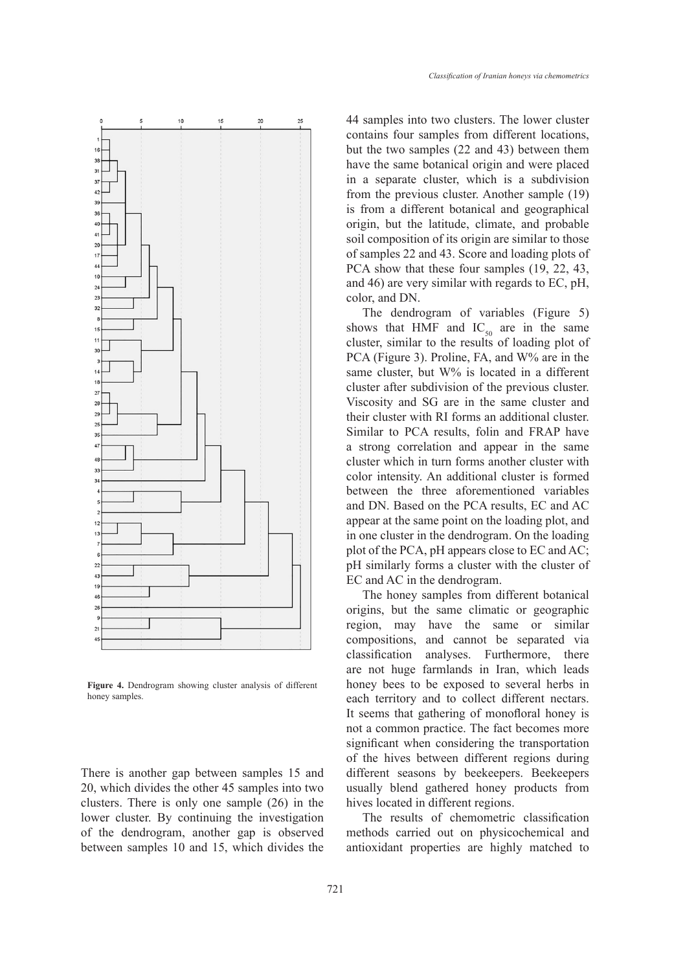

**Figure 4.** Dendrogram showing cluster analysis of different honey samples.

There is another gap between samples 15 and 20, which divides the other 45 samples into two clusters. There is only one sample (26) in the lower cluster. By continuing the investigation of the dendrogram, another gap is observed between samples 10 and 15, which divides the 44 samples into two clusters. The lower cluster contains four samples from different locations, but the two samples (22 and 43) between them have the same botanical origin and were placed in a separate cluster, which is a subdivision from the previous cluster. Another sample (19) is from a different botanical and geographical origin, but the latitude, climate, and probable soil composition of its origin are similar to those of samples 22 and 43. Score and loading plots of PCA show that these four samples  $(19, 22, 43, 4)$ and 46) are very similar with regards to EC, pH, color, and DN.

The dendrogram of variables (Figure 5) shows that HMF and  $IC_{50}$  are in the same cluster, similar to the results of loading plot of PCA (Figure 3). Proline, FA, and W% are in the same cluster, but W% is located in a different cluster after subdivision of the previous cluster. Viscosity and SG are in the same cluster and their cluster with RI forms an additional cluster. Similar to PCA results, folin and FRAP have a strong correlation and appear in the same cluster which in turn forms another cluster with color intensity. An additional cluster is formed between the three aforementioned variables and DN. Based on the PCA results, EC and AC appear at the same point on the loading plot, and in one cluster in the dendrogram. On the loading plot of the PCA, pH appears close to EC and AC; pH similarly forms a cluster with the cluster of EC and AC in the dendrogram.

The honey samples from different botanical origins, but the same climatic or geographic region, may have the same or similar compositions, and cannot be separated via classification analyses. Furthermore, there are not huge farmlands in Iran, which leads honey bees to be exposed to several herbs in each territory and to collect different nectars. It seems that gathering of monofloral honey is not a common practice. The fact becomes more significant when considering the transportation of the hives between different regions during different seasons by beekeepers. Beekeepers usually blend gathered honey products from hives located in different regions.

The results of chemometric classification methods carried out on physicochemical and antioxidant properties are highly matched to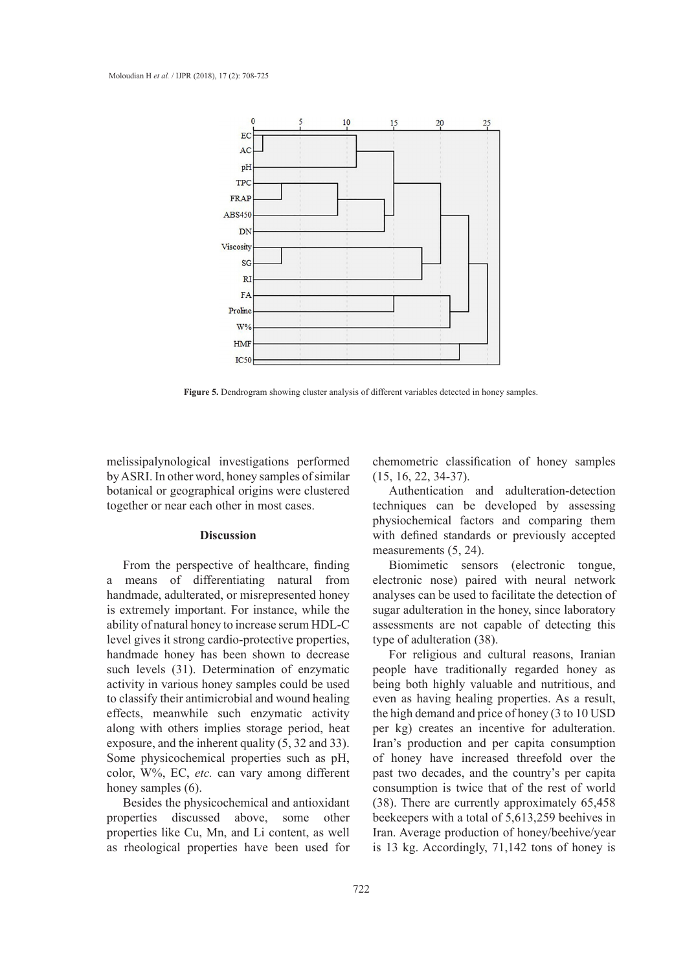

**Figure 5.** Dendrogram showing cluster analysis of different variables detected in honey samples.

melissipalynological investigations performed by ASRI. In other word, honey samples of similar botanical or geographical origins were clustered together or near each other in most cases.

# **Discussion**

From the perspective of healthcare, finding a means of differentiating natural from handmade, adulterated, or misrepresented honey is extremely important. For instance, while the ability of natural honey to increase serum HDL-C level gives it strong cardio-protective properties, handmade honey has been shown to decrease such levels (31). Determination of enzymatic activity in various honey samples could be used to classify their antimicrobial and wound healing effects, meanwhile such enzymatic activity along with others implies storage period, heat exposure, and the inherent quality (5, 32 and 33). Some physicochemical properties such as pH, color, W%, EC, *etc.* can vary among different honey samples  $(6)$ .

Besides the physicochemical and antioxidant properties discussed above, some other properties like Cu, Mn, and Li content, as well as rheological properties have been used for

chemometric classification of honey samples (15, 16, 22, 34-37).

Authentication and adulteration-detection techniques can be developed by assessing physiochemical factors and comparing them with defined standards or previously accepted measurements (5, 24).

Biomimetic sensors (electronic tongue, electronic nose) paired with neural network analyses can be used to facilitate the detection of sugar adulteration in the honey, since laboratory assessments are not capable of detecting this type of adulteration (38).

For religious and cultural reasons, Iranian people have traditionally regarded honey as being both highly valuable and nutritious, and even as having healing properties. As a result, the high demand and price of honey (3 to 10 USD per kg) creates an incentive for adulteration. Iran's production and per capita consumption of honey have increased threefold over the past two decades, and the country's per capita consumption is twice that of the rest of world (38). There are currently approximately 65,458 beekeepers with a total of 5,613,259 beehives in Iran. Average production of honey/beehive/year is 13 kg. Accordingly, 71,142 tons of honey is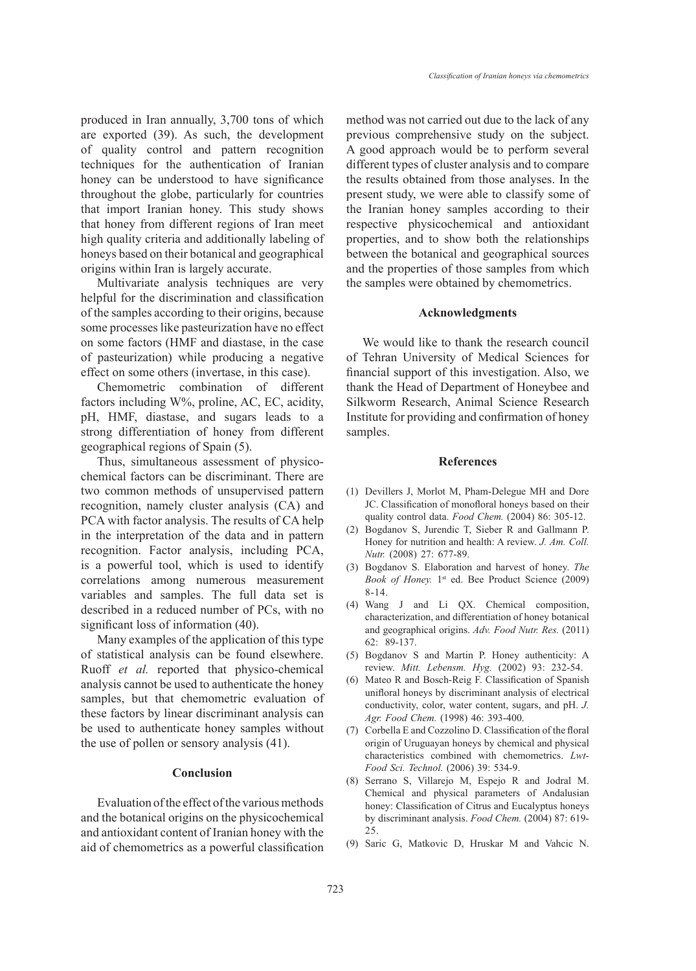produced in Iran annually, 3,700 tons of which are exported (39). As such, the development of quality control and pattern recognition techniques for the authentication of Iranian honey can be understood to have significance throughout the globe, particularly for countries that import Iranian honey. This study shows that honey from different regions of Iran meet high quality criteria and additionally labeling of honeys based on their botanical and geographical origins within Iran is largely accurate.

Multivariate analysis techniques are very helpful for the discrimination and classification of the samples according to their origins, because some processes like pasteurization have no effect on some factors (HMF and diastase, in the case of pasteurization) while producing a negative effect on some others (invertase, in this case).

Chemometric combination of different factors including W%, proline, AC, EC, acidity, pH, HMF, diastase, and sugars leads to a strong differentiation of honey from different geographical regions of Spain (5).

Thus, simultaneous assessment of physicochemical factors can be discriminant. There are two common methods of unsupervised pattern recognition, namely cluster analysis (CA) and PCA with factor analysis. The results of CA help in the interpretation of the data and in pattern recognition. Factor analysis, including PCA, is a powerful tool, which is used to identify correlations among numerous measurement variables and samples. The full data set is described in a reduced number of PCs, with no significant loss of information (40).

Many examples of the application of this type of statistical analysis can be found elsewhere. Ruoff *et al.* reported that physico-chemical analysis cannot be used to authenticate the honey samples, but that chemometric evaluation of these factors by linear discriminant analysis can be used to authenticate honey samples without the use of pollen or sensory analysis (41).

# **Conclusion**

Evaluation of the effect of the various methods and the botanical origins on the physicochemical and antioxidant content of Iranian honey with the aid of chemometrics as a powerful classification method was not carried out due to the lack of any previous comprehensive study on the subject. A good approach would be to perform several different types of cluster analysis and to compare the results obtained from those analyses. In the present study, we were able to classify some of the Iranian honey samples according to their respective physicochemical and antioxidant properties, and to show both the relationships between the botanical and geographical sources and the properties of those samples from which the samples were obtained by chemometrics.

#### **Acknowledgments**

We would like to thank the research council of Tehran University of Medical Sciences for financial support of this investigation. Also, we thank the Head of Department of Honeybee and Silkworm Research, Animal Science Research Institute for providing and confirmation of honey samples.

#### **References**

- (1) Devillers J, Morlot M, Pham-Delegue MH and Dore JC. Classification of monofloral honeys based on their quality control data. *Food Chem.* (2004) 86: 305-12.
- Bogdanov S, Jurendic T, Sieber R and Gallmann P. (2) Honey for nutrition and health: A review. *J. Am. Coll. Nutr.* (2008) 27: 677-89.
- Bogdanov S. Elaboration and harvest of honey. *The*  (3) Book of Honey. 1<sup>st</sup> ed. Bee Product Science (2009) 8-14.
- Wang J and Li QX. Chemical composition, (4) characterization, and differentiation of honey botanical and geographical origins. *Adv. Food Nutr. Res.* (2011) 62: 89-137.
- Bogdanov S and Martin P. Honey authenticity: A (5) review. *Mitt. Lebensm. Hyg.* (2002) 93: 232-54.
- (6) Mateo R and Bosch-Reig F. Classification of Spanish unifloral honeys by discriminant analysis of electrical conductivity, color, water content, sugars, and pH. *J. Agr. Food Chem.* (1998) 46: 393-400.
- $(7)$  Corbella E and Cozzolino D. Classification of the floral origin of Uruguayan honeys by chemical and physical characteristics combined with chemometrics. *Lwt-Food Sci. Technol.* (2006) 39: 534-9.
- (8) Serrano S, Villarejo M, Espejo R and Jodral M. Chemical and physical parameters of Andalusian honey: Classification of Citrus and Eucalyptus honeys by discriminant analysis. *Food Chem.* (2004) 87: 619- 25.
- (9) Saric G, Matkovic D, Hruskar M and Vahcic N.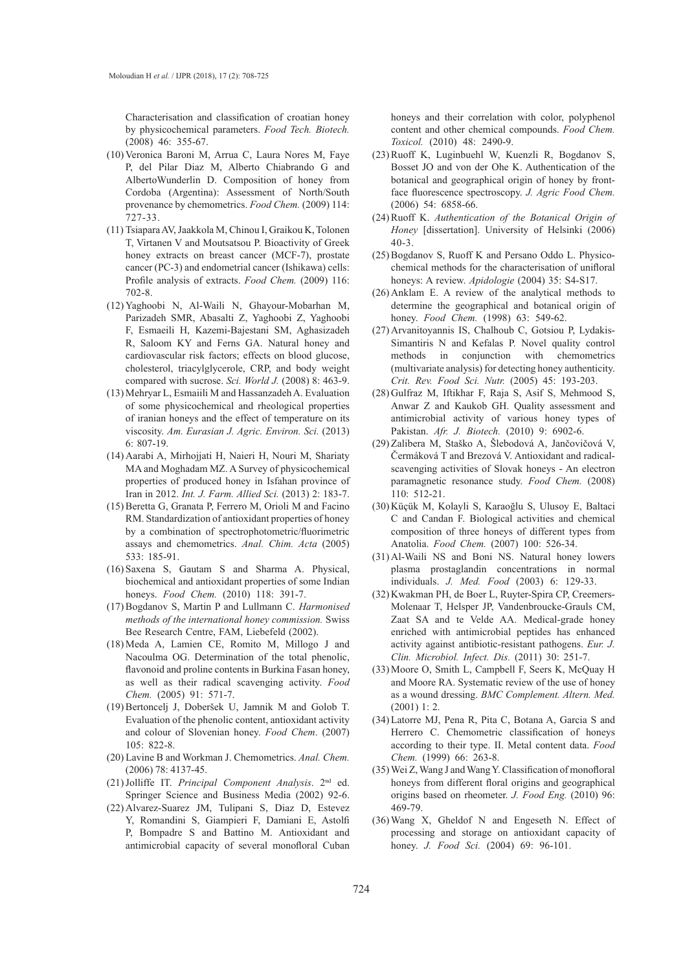Characterisation and classification of croatian honey by physicochemical parameters. *Food Tech. Biotech.* (2008) 46: 355-67.

- (10) Veronica Baroni M, Arrua C, Laura Nores M, Faye P, del Pilar Diaz M, Alberto Chiabrando G and AlbertoWunderlin D. Composition of honey from Cordoba (Argentina): Assessment of North/South provenance by chemometrics. *Food Chem.* (2009) 114: 727-33.
- (11) Tsiapara AV, Jaakkola M, Chinou I, Graikou K, Tolonen T, Virtanen V and Moutsatsou P. Bioactivity of Greek honey extracts on breast cancer (MCF-7), prostate cancer (PC-3) and endometrial cancer (Ishikawa) cells: Profile analysis of extracts. *Food Chem.* (2009) 116: 702-8.
- (12) Yaghoobi N, Al-Waili N, Ghayour-Mobarhan M, Parizadeh SMR, Abasalti Z, Yaghoobi Z, Yaghoobi F, Esmaeili H, Kazemi-Bajestani SM, Aghasizadeh R, Saloom KY and Ferns GA. Natural honey and cardiovascular risk factors; effects on blood glucose, cholesterol, triacylglycerole, CRP, and body weight compared with sucrose. *Sci. World J.* (2008) 8: 463-9.
- Mehryar L, Esmaiili M and Hassanzadeh A. Evaluation (13) of some physicochemical and rheological properties of iranian honeys and the effect of temperature on its viscosity. *Am. Eurasian J. Agric. Environ. Sci.* (2013) 6: 807-19.
- Aarabi A, Mirhojjati H, Naieri H, Nouri M, Shariaty (14) MA and Moghadam MZ. A Survey of physicochemical properties of produced honey in Isfahan province of Iran in 2012. *Int. J. Farm. Allied Sci.* (2013) 2: 183-7.
- (15) Beretta G, Granata P, Ferrero M, Orioli M and Facino RM. Standardization of antioxidant properties of honey by a combination of spectrophotometric/fluorimetric assays and chemometrics. *Anal. Chim. Acta* (2005) 533: 185-91.
- $(16)$  Saxena S, Gautam S and Sharma A. Physical, biochemical and antioxidant properties of some Indian honeys. *Food Chem.* (2010) 118: 391-7.
- Bogdanov S, Martin P and Lullmann C. *Harmonised*  (17) *methods of the international honey commission.* Swiss Bee Research Centre, FAM, Liebefeld (2002).
- $(18)$  Meda A, Lamien CE, Romito M, Millogo J and Nacoulma OG. Determination of the total phenolic, flavonoid and proline contents in Burkina Fasan honey, as well as their radical scavenging activity. *Food Chem.* (2005) 91: 571-7.
- Bertoncelj J, Doberšek U, Jamnik M and Golob T. (19) Evaluation of the phenolic content, antioxidant activity and colour of Slovenian honey. *Food Chem*. (2007) 105: 822-8.
- Lavine B and Workman J. Chemometrics. *Anal. Chem.* (20) (2006) 78: 4137-45.
- (21) Jolliffe IT. Principal Component Analysis. 2<sup>nd</sup> ed. Springer Science and Business Media (2002) 92-6.
- (22) Alvarez-Suarez JM, Tulipani S, Diaz D, Estevez Y, Romandini S, Giampieri F, Damiani E, Astolfi P, Bompadre S and Battino M. Antioxidant and antimicrobial capacity of several monofloral Cuban

honeys and their correlation with color, polyphenol content and other chemical compounds. *Food Chem. Toxicol.* (2010) 48: 2490-9.

- $(23)$  Ruoff K, Luginbuehl W, Kuenzli R, Bogdanov S, Bosset JO and von der Ohe K. Authentication of the botanical and geographical origin of honey by frontface fluorescence spectroscopy. *J. Agric Food Chem.* (2006) 54: 6858-66.
- (24) Ruoff K. Authentication of the Botanical Origin of *Honey* [dissertation]. University of Helsinki (2006) 40-3.
- (25) Bogdanov S, Ruoff K and Persano Oddo L. Physicochemical methods for the characterisation of unifloral honeys: A review. *Apidologie* (2004) 35: S4-S17.
- $(26)$  Anklam E. A review of the analytical methods to determine the geographical and botanical origin of honey. *Food Chem.* (1998) 63: 549-62.
- (27) Arvanitoyannis IS, Chalhoub C, Gotsiou P, Lydakis-Simantiris N and Kefalas P. Novel quality control methods in conjunction with chemometrics (multivariate analysis) for detecting honey authenticity. *Crit. Rev. Food Sci. Nutr.* (2005) 45: 193-203.
- (28) Gulfraz M, Iftikhar F, Raja S, Asif S, Mehmood S, Anwar Z and Kaukob GH. Quality assessment and antimicrobial activity of various honey types of Pakistan. *Afr. J. Biotech.* (2010) 9: 6902-6.
- (29) Zalibera M, Staško A, Slebodová A, Jančovičová V, Čermáková T and Brezová V. Antioxidant and radicalscavenging activities of Slovak honeys - An electron paramagnetic resonance study. *Food Chem.* (2008) 110: 512-21.
- (30) Küçük M, Kolayli S, Karaoğlu S, Ulusoy E, Baltaci C and Candan F. Biological activities and chemical composition of three honeys of different types from Anatolia. *Food Chem.* (2007) 100: 526-34.
- (31) Al-Waili NS and Boni NS. Natural honey lowers plasma prostaglandin concentrations in normal individuals. *J. Med. Food* (2003) 6: 129-33.
- (32) Kwakman PH, de Boer L, Ruyter-Spira CP, Creemers-Molenaar T, Helsper JP, Vandenbroucke-Grauls CM, Zaat SA and te Velde AA. Medical-grade honey enriched with antimicrobial peptides has enhanced activity against antibiotic-resistant pathogens. *Eur. J. Clin. Microbiol. Infect. Dis.* (2011) 30: 251-7.
- (33) Moore O, Smith L, Campbell F, Seers K, McQuay H and Moore RA. Systematic review of the use of honey as a wound dressing. *BMC Complement. Altern. Med.* (2001) 1: 2.
- Latorre MJ, Pena R, Pita C, Botana A, Garcia S and (34) Herrero C. Chemometric classification of honeys according to their type. II. Metal content data. *Food Chem.* (1999) 66: 263-8.
- Wei Z, Wang J and Wang Y. Classification of monofloral (35) honeys from different floral origins and geographical origins based on rheometer. *J. Food Eng.* (2010) 96: 469-79.
- Wang X, Gheldof N and Engeseth N. Effect of (36)processing and storage on antioxidant capacity of honey. *J. Food Sci.* (2004) 69: 96-101.